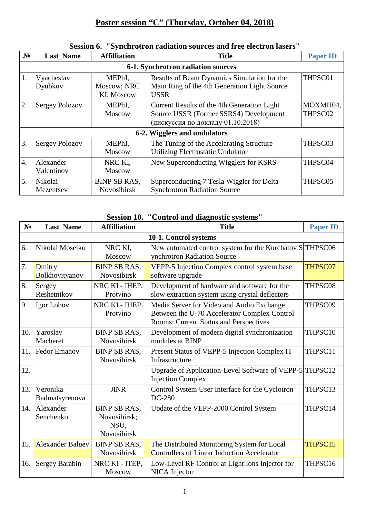## **Poster session "C" (Thursday, October 04, 2018)**

| $N_2$                        | <b>Last_Name</b>                   | <b>Affilliation</b>                 | <b>Title</b>                                                                                                               | <b>Paper ID</b>     |  |  |
|------------------------------|------------------------------------|-------------------------------------|----------------------------------------------------------------------------------------------------------------------------|---------------------|--|--|
|                              | 6-1. Synchrotron radiation sources |                                     |                                                                                                                            |                     |  |  |
| 1.                           | Vyacheslav<br>Dyubkov              | MEPhI,<br>Moscow; NRC<br>KI, Moscow | Results of Beam Dynamics Simulation for the<br>Main Ring of the 4th Generation Light Source<br><b>USSR</b>                 | THPSC01             |  |  |
| 2.                           | <b>Sergey Polozov</b>              | MEPhI,<br><b>Moscow</b>             | Current Results of the 4th Generation Light<br>Source USSR (Former SSRS4) Development<br>(дискуссия по докладу 01.10.2018) | MOXMH04,<br>THPSC02 |  |  |
| 6-2. Wigglers and undulators |                                    |                                     |                                                                                                                            |                     |  |  |
| 3.                           | <b>Sergey Polozov</b>              | MEPhI,<br><b>Moscow</b>             | The Tuning of the Accelarating Structure<br>Utilizing Electrostatic Undulator                                              | THPSC03             |  |  |
| $\overline{4}$ .             | Alexander<br>Valentinov            | NRC KI,<br><b>Moscow</b>            | New Superconducting Wigglers for KSRS                                                                                      | THPSC04             |  |  |
| 5.                           | Nikolai<br>Mezentsev               | <b>BINP SB RAS.</b><br>Novosibirsk  | Superconducting 7 Tesla Wiggler for Delta<br><b>Synchrotron Radiation Source</b>                                           | THPSC05             |  |  |

## **Session 6. "Synchrotron radiation sources and free electron lasers"**

## **Session 10. "Control and diagnostic systems"**

| $N_2$                 | <b>Last_Name</b>           | <b>Affilliation</b>                                        | <b>Title</b>                                                                                                                               | <b>Paper ID</b> |  |
|-----------------------|----------------------------|------------------------------------------------------------|--------------------------------------------------------------------------------------------------------------------------------------------|-----------------|--|
| 10-1. Control systems |                            |                                                            |                                                                                                                                            |                 |  |
| 6.                    | Nikolai Moseiko            | NRC KI,<br><b>Moscow</b>                                   | New automated control system for the Kurchatov S THPSC06<br>ynchrotron Radiation Source                                                    |                 |  |
| 7.                    | Dmitry<br>Bolkhovityanov   | <b>BINP SB RAS.</b><br><b>Novosibirsk</b>                  | VEPP-5 Injection Complex control system base<br>software upgrade                                                                           | THPSC07         |  |
| 8.                    | Sergey<br>Reshetnikov      | NRC KI - IHEP,<br>Protvino                                 | Development of hardware and software for the<br>slow extraction system using crystal deflectors                                            | THPSC08         |  |
| 9.                    | Igor Lobov                 | NRC KI - IHEP.<br>Protvino                                 | Media Server for Video and Audio Exchange<br>Between the U-70 Accelerator Complex Control<br><b>Rooms: Current Status and Perspectives</b> | THPSC09         |  |
| 10.                   | Yaroslav<br>Macheret       | <b>BINP SB RAS.</b><br><b>Novosibirsk</b>                  | Development of modern digital synchronization<br>modules at BINP                                                                           | THPSC10         |  |
| 11.                   | <b>Fedor Emanov</b>        | <b>BINP SB RAS,</b><br>Novosibirsk                         | Present Status of VEPP-5 Injection Complex IT<br>Infrastructure                                                                            | THPSC11         |  |
| 12.                   |                            |                                                            | Upgrade of Application-Level Software of VEPP-5 THPSC12<br><b>Injection Complex</b>                                                        |                 |  |
| 13.                   | Veronika<br>Badmatsyrenova | <b>JINR</b>                                                | Control System User Interface for the Cyclotron<br>DC-280                                                                                  | THPSC13         |  |
| 14.                   | Alexander<br>Senchenko     | <b>BINP SB RAS,</b><br>Novosibirsk;<br>NSU,<br>Novosibirsk | Update of the VEPP-2000 Control System                                                                                                     | THPSC14         |  |
| 15.                   | <b>Alexander Baluev</b>    | <b>BINP SB RAS,</b><br>Novosibirsk                         | The Distributed Monitoring System for Local<br><b>Controllers of Linear Induction Accelerator</b>                                          | THPSC15         |  |
| 16.                   | <b>Sergey Barabin</b>      | NRC KI - ITEP.<br>Moscow                                   | Low-Level RF Control at Light Ions Injector for<br>NICA Injector                                                                           | THPSC16         |  |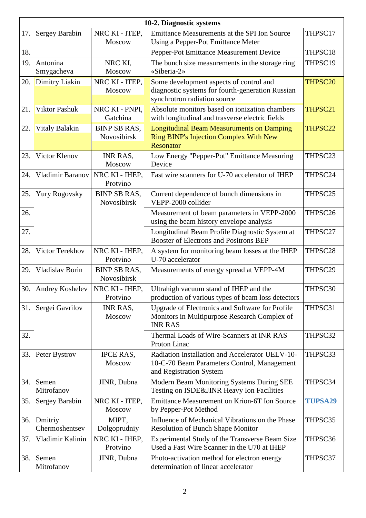|     | 10-2. Diagnostic systems |                                    |                                                                                                   |                |  |
|-----|--------------------------|------------------------------------|---------------------------------------------------------------------------------------------------|----------------|--|
| 17. | Sergey Barabin           | NRC KI - ITEP,                     | Emittance Measurements at the SPI Ion Source                                                      | THPSC17        |  |
|     |                          | Moscow                             | Using a Pepper-Pot Emittance Meter                                                                |                |  |
| 18. |                          |                                    | Pepper-Pot Emittance Measurement Device                                                           | THPSC18        |  |
| 19. | Antonina                 | NRC KI,                            | The bunch size measurements in the storage ring                                                   | THPSC19        |  |
|     | Smygacheva               | Moscow                             | «Siberia-2»                                                                                       |                |  |
| 20. | Dimitry Liakin           | NRC KI - ITEP,                     | Some development aspects of control and                                                           | THPSC20        |  |
|     |                          | Moscow                             | diagnostic systems for fourth-generation Russian<br>synchrotron radiation source                  |                |  |
|     |                          |                                    |                                                                                                   |                |  |
| 21. | <b>Viktor Pashuk</b>     | NRC KI - PNPI,<br>Gatchina         | Absolute monitors based on ionization chambers<br>with longitudinal and trasverse electric fields | THPSC21        |  |
| 22. | <b>Vitaly Balakin</b>    | <b>BINP SB RAS,</b>                | <b>Longitudinal Beam Measuruments on Damping</b>                                                  | THPSC22        |  |
|     |                          | Novosibirsk                        | <b>Ring BINP's Injection Complex With New</b>                                                     |                |  |
|     |                          |                                    | <b>Resonator</b>                                                                                  |                |  |
| 23. | Victor Klenov            | INR RAS,                           | Low Energy "Pepper-Pot" Emittance Measuring                                                       | THPSC23        |  |
|     |                          | Moscow                             | Device                                                                                            |                |  |
| 24. | <b>Vladimir Baranov</b>  | NRC KI - IHEP,                     | Fast wire scanners for U-70 accelerator of IHEP                                                   | THPSC24        |  |
|     |                          | Protvino                           |                                                                                                   |                |  |
| 25. | <b>Yury Rogovsky</b>     | <b>BINP SB RAS,</b>                | Current dependence of bunch dimensions in                                                         | THPSC25        |  |
|     |                          | Novosibirsk                        | VEPP-2000 collider                                                                                |                |  |
| 26. |                          |                                    | Measurement of beam parameters in VEPP-2000                                                       | THPSC26        |  |
|     |                          |                                    | using the beam history envelope analysis                                                          |                |  |
| 27. |                          |                                    | Longitudinal Beam Profile Diagnostic System at<br>Booster of Electrons and Positrons BEP          | THPSC27        |  |
| 28. | Victor Terekhov          | NRC KI - IHEP,<br>Protvino         | A system for monitoring beam losses at the IHEP<br>U-70 accelerator                               | THPSC28        |  |
| 29. | Vladislav Borin          | <b>BINP SB RAS,</b><br>Novosibirsk | Measurements of energy spread at VEPP-4M                                                          | THPSC29        |  |
| 30. | <b>Andrey Koshelev</b>   | NRC KI - IHEP,                     | Ultrahigh vacuum stand of IHEP and the                                                            | THPSC30        |  |
|     |                          | Protvino                           | production of various types of beam loss detectors                                                |                |  |
| 31. | Sergei Gavrilov          | <b>INR RAS,</b>                    | Upgrade of Electronics and Software for Profile                                                   | THPSC31        |  |
|     |                          | Moscow                             | Monitors in Multipurpose Research Complex of                                                      |                |  |
|     |                          |                                    | <b>INR RAS</b>                                                                                    |                |  |
| 32. |                          |                                    | Thermal Loads of Wire-Scanners at INR RAS<br>Proton Linac                                         | THPSC32        |  |
| 33. | Peter Bystrov            | <b>IPCE RAS,</b>                   | Radiation Installation and Accelerator UELV-10-                                                   | THPSC33        |  |
|     |                          | Moscow                             | 10-C-70 Beam Parameters Control, Management                                                       |                |  |
|     |                          |                                    | and Registration System                                                                           |                |  |
| 34. | Semen                    | JINR, Dubna                        | Modern Beam Monitoring Systems During SEE                                                         | THPSC34        |  |
|     | Mitrofanov               |                                    | Testing on ISDE&JINR Heavy Ion Facilities                                                         |                |  |
| 35. | <b>Sergey Barabin</b>    | NRC KI - ITEP,                     | Emittance Measurement on Krion-6T Ion Source                                                      | <b>TUPSA29</b> |  |
|     |                          | Moscow                             | by Pepper-Pot Method                                                                              |                |  |
| 36. | Dmitriy                  | MIPT,                              | Influence of Mechanical Vibrations on the Phase                                                   | THPSC35        |  |
|     | Chermoshentsev           | Dolgoprudniy                       | <b>Resolution of Bunch Shape Monitor</b>                                                          |                |  |
| 37. | Vladimir Kalinin         | NRC KI - IHEP,                     | Experimental Study of the Transverse Beam Size                                                    | THPSC36        |  |
|     |                          | Protvino                           | Used a Fast Wire Scanner in the U70 at IHEP                                                       |                |  |
| 38. | Semen<br>Mitrofanov      | JINR, Dubna                        | Photo-activation method for electron energy<br>determination of linear accelerator                | THPSC37        |  |
|     |                          |                                    |                                                                                                   |                |  |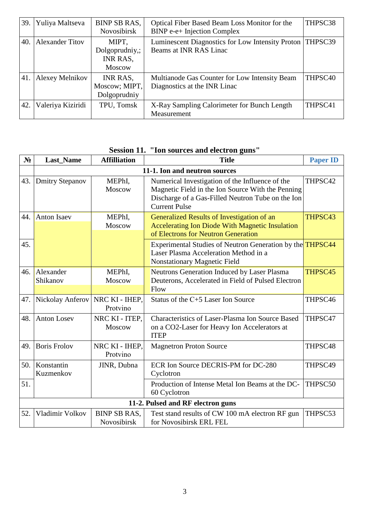| 39. | Yuliya Maltseva        | <b>BINP SB RAS,</b><br>Novosibirsk                   | Optical Fiber Based Beam Loss Monitor for the<br><b>BINP</b> e-e+ Injection Complex  | THPSC38             |
|-----|------------------------|------------------------------------------------------|--------------------------------------------------------------------------------------|---------------------|
| 40. | <b>Alexander Titov</b> | MIPT,<br>Dolgoprudniy,;<br>INR RAS,<br><b>Moscow</b> | Luminescent Diagnostics for Low Intensity Proton   THPSC39<br>Beams at INR RAS Linac |                     |
| 41. | Alexey Melnikov        | INR RAS,<br>Moscow; MIPT,<br>Dolgoprudniy            | Multianode Gas Counter for Low Intensity Beam<br>Diagnostics at the INR Linac        | THPSC <sub>40</sub> |
| 42. | Valeriya Kiziridi      | TPU, Tomsk                                           | X-Ray Sampling Calorimeter for Bunch Length<br>Measurement                           | THPSC41             |

## **Session 11. "Ion sources and electron guns"**

| $N_2$ | <b>Last_Name</b>                  | <b>Affilliation</b>                | <b>Title</b>                                                                                                                                                                      | <b>Paper ID</b> |  |  |
|-------|-----------------------------------|------------------------------------|-----------------------------------------------------------------------------------------------------------------------------------------------------------------------------------|-----------------|--|--|
|       | 11-1. Ion and neutron sources     |                                    |                                                                                                                                                                                   |                 |  |  |
| 43.   | <b>Dmitry Stepanov</b>            | MEPhI,<br>Moscow                   | Numerical Investigation of the Influence of the<br>Magnetic Field in the Ion Source With the Penning<br>Discharge of a Gas-Filled Neutron Tube on the Ion<br><b>Current Pulse</b> | THPSC42         |  |  |
| 44.   | <b>Anton Isaev</b>                | MEPhI,<br>Moscow                   | Generalized Results of Investigation of an<br><b>Accelerating Ion Diode With Magnetic Insulation</b><br>of Electrons for Neutron Generation                                       | THPSC43         |  |  |
| 45.   |                                   |                                    | Experimental Studies of Neutron Generation by the <b>THPSC44</b><br>Laser Plasma Acceleration Method in a<br>Nonstationary Magnetic Field                                         |                 |  |  |
| 46.   | Alexander<br>Shikanov             | MEPhI,<br>Moscow                   | Neutrons Generation Induced by Laser Plasma<br>Deuterons, Accelerated in Field of Pulsed Electron<br>Flow                                                                         | THPSC45         |  |  |
| 47.   | Nickolay Anferov                  | NRC KI - IHEP,<br>Protvino         | Status of the C+5 Laser Ion Source                                                                                                                                                | THPSC46         |  |  |
| 48.   | <b>Anton Losev</b>                | NRC KI - ITEP,<br><b>Moscow</b>    | Characteristics of Laser-Plasma Ion Source Based<br>on a CO2-Laser for Heavy Ion Accelerators at<br><b>ITEP</b>                                                                   | THPSC47         |  |  |
| 49.   | <b>Boris Frolov</b>               | NRC KI - IHEP,<br>Protvino         | <b>Magnetron Proton Source</b>                                                                                                                                                    | THPSC48         |  |  |
| 50.   | Konstantin<br>Kuzmenkov           | JINR, Dubna                        | ECR Ion Source DECRIS-PM for DC-280<br>Cyclotron                                                                                                                                  | THPSC49         |  |  |
| 51.   |                                   |                                    | Production of Intense Metal Ion Beams at the DC-<br>60 Cyclotron                                                                                                                  | THPSC50         |  |  |
|       | 11-2. Pulsed and RF electron guns |                                    |                                                                                                                                                                                   |                 |  |  |
| 52.   | Vladimir Volkov                   | <b>BINP SB RAS.</b><br>Novosibirsk | Test stand results of CW 100 mA electron RF gun<br>for Novosibirsk ERL FEL                                                                                                        | THPSC53         |  |  |